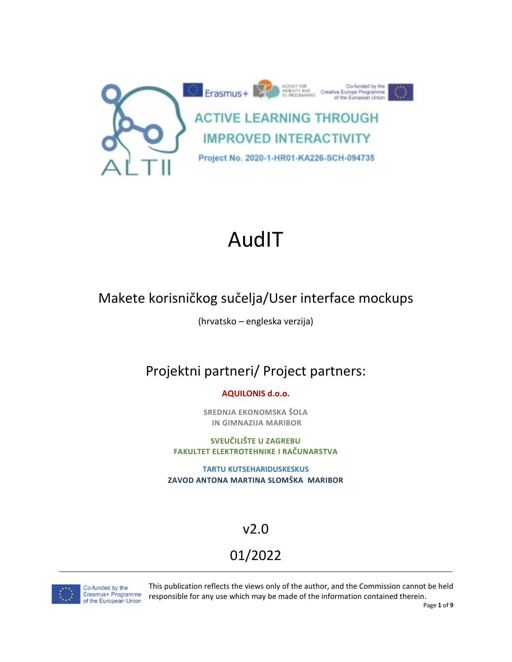

## AudIT

### Makete korisničkog sučelja/User interface mockups

(hrvatsko – engleska verzija)

### Projektni partneri/ Project partners:

**AQUILONIS d.o.o.**

**SREDNJA EKONOMSKA ŠOLA IN GIMNAZIJA MARIBOR**

**SVEUČILIŠTE U ZAGREBU FAKULTET ELEKTROTEHNIKE I RAČUNARSTVA**

**TARTU KUTSEHARIDUSKESKUS ZAVOD ANTONA MARTINA SLOMŠKA MARIBOR**

### v2.0

## 01/2022



Co-funded by the<br>Erasmus+ Programme of the European Union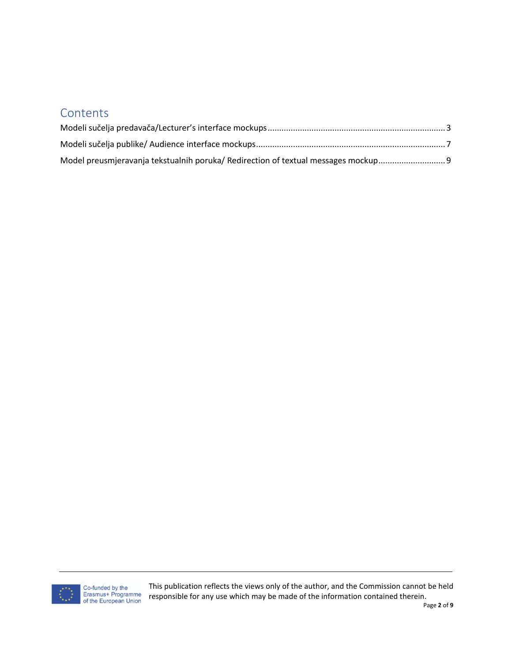#### **Contents**

| Model preusmieravania tekstualnih poruka/ Redirection of textual messages mockup |  |
|----------------------------------------------------------------------------------|--|

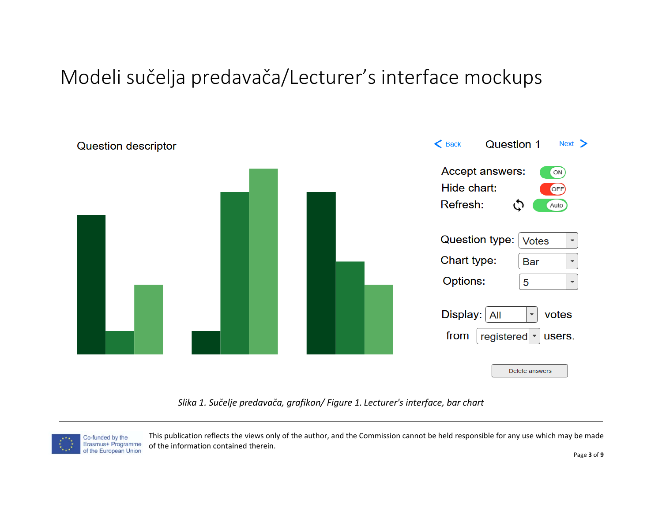## Modeli sučelja predavača/Lecturer's interface mockups

<span id="page-2-0"></span>

*Slika 1. Sučelje predavača, grafikon/ Figure 1. Lecturer's interface, bar chart*

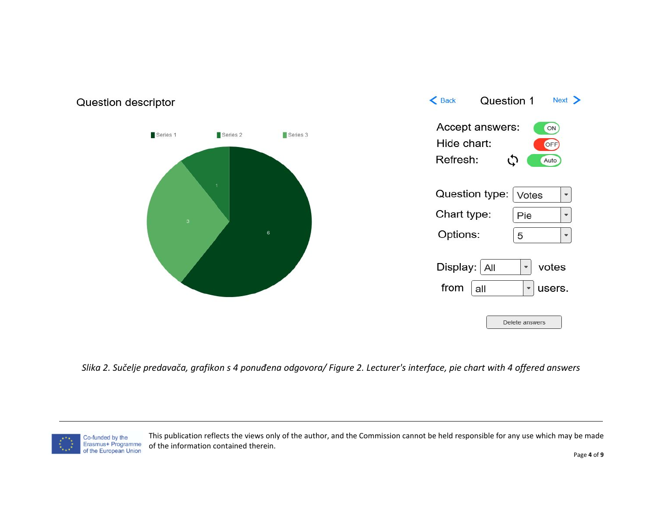

*Slika 2. Sučelje predavača, grafikon s 4 ponuđena odgovora/ Figure 2. Lecturer's interface, pie chart with 4 offered answers*

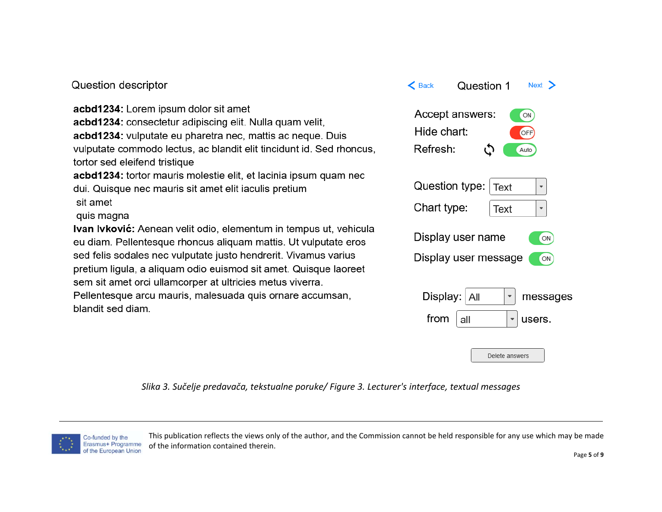#### Question descriptor

acbd1234: Lorem ipsum dolor sit amet acbd1234: consectetur adipiscing elit. Nulla quam velit, acbd1234: vulputate eu pharetra nec, mattis ac neque. Duis vulputate commodo lectus, ac blandit elit tincidunt id. Sed rhoncus, tortor sed eleifend tristique

acbd1234: tortor mauris molestie elit, et lacinia ipsum quam nec dui. Quisque nec mauris sit amet elit iaculis pretium sit amet

#### quis magna

Ivan Ivković: Aenean velit odio, elementum in tempus ut, vehicula eu diam. Pellentesque rhoncus aliquam mattis. Ut vulputate eros sed felis sodales nec vulputate justo hendrerit. Vivamus varius pretium ligula, a aliquam odio euismod sit amet. Quisque laoreet sem sit amet orci ullamcorper at ultricies metus viverra.

Pellentesque arcu mauris, malesuada quis ornare accumsan, blandit sed diam.



*Slika 3. Sučelje predavača, tekstualne poruke/ Figure 3. Lecturer's interface, textual messages*

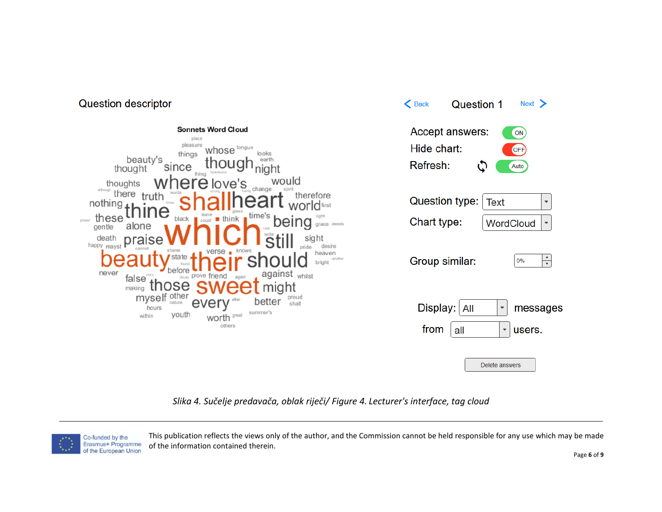



*Slika 4. Sučelje predavača, oblak riječi/ Figure 4. Lecturer's interface, tag cloud*



This publication reflects the views only of the author, and the Commission cannot be held responsible for any use which may be made of the information contained therein.

**Question 1** 

 $Next >$ 

 $\epsilon$  Back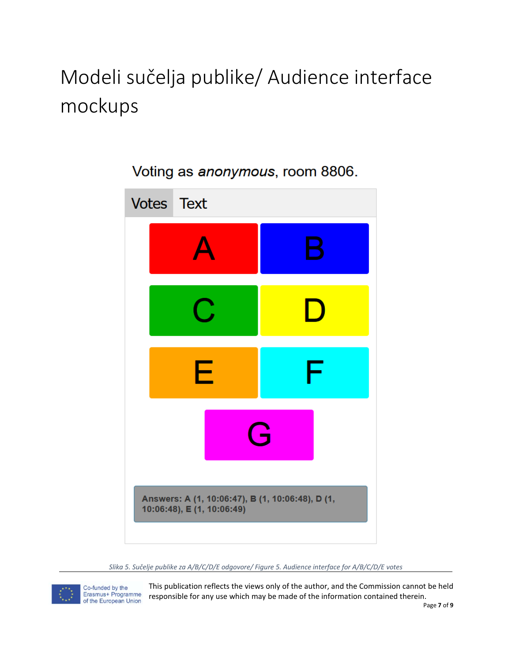# <span id="page-6-0"></span>Modeli sučelja publike/ Audience interface mockups



Voting as anonymous, room 8806.

*Slika 5. Sučelje publike za A/B/C/D/E odgovore/ Figure 5. Audience interface for A/B/C/D/E votes*



Co-funded by the<br>Erasmus+ Programme of the European Union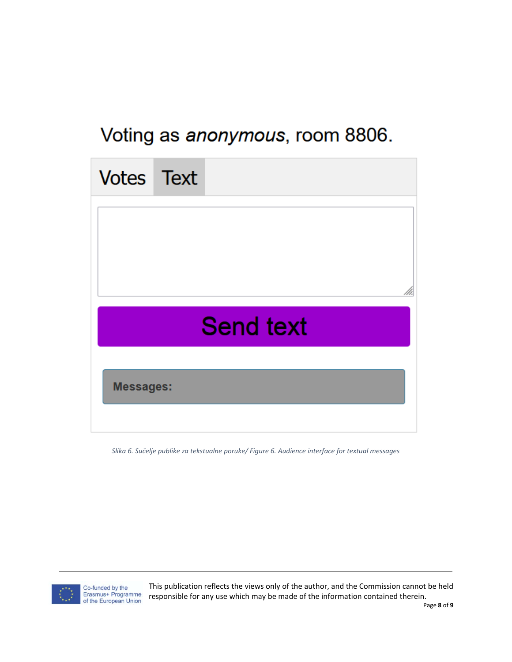## Voting as anonymous, room 8806.



*Slika 6. Sučelje publike za tekstualne poruke/ Figure 6. Audience interface for textual messages*